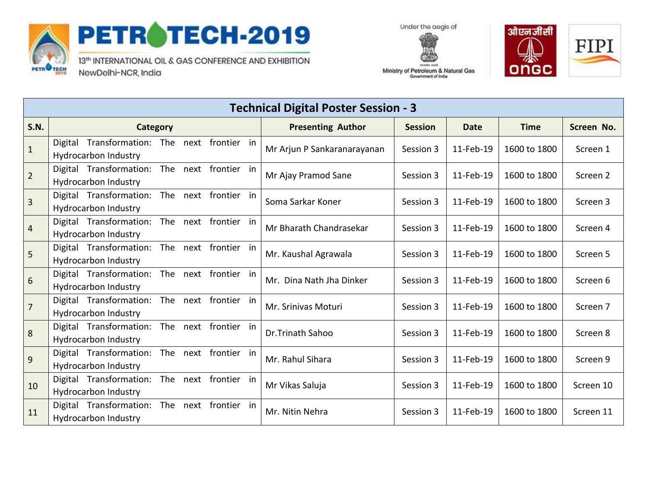

## PETROTECH-2019

13th INTERNATIONAL OIL & GAS CONFERENCE AND EXHIBITION NewDelhi-NCR, India





Ministry of Petroleum & Natural Gas Government of India

| <b>Technical Digital Poster Session - 3</b> |                                                     |     |                      |  |                             |                |           |              |                     |
|---------------------------------------------|-----------------------------------------------------|-----|----------------------|--|-----------------------------|----------------|-----------|--------------|---------------------|
| <b>S.N.</b>                                 | <b>Category</b>                                     |     |                      |  | <b>Presenting Author</b>    | <b>Session</b> | Date      | <b>Time</b>  | Screen No.          |
| $\mathbf{1}$                                | Digital Transformation: The<br>Hydrocarbon Industry |     | next frontier in     |  | Mr Arjun P Sankaranarayanan | Session 3      | 11-Feb-19 | 1600 to 1800 | Screen 1            |
| $\overline{2}$                              | Digital Transformation:<br>Hydrocarbon Industry     |     | The next frontier in |  | Mr Ajay Pramod Sane         | Session 3      | 11-Feb-19 | 1600 to 1800 | Screen 2            |
| $\overline{3}$                              | Digital Transformation:<br>Hydrocarbon Industry     |     | The next frontier in |  | Soma Sarkar Koner           | Session 3      | 11-Feb-19 | 1600 to 1800 | Screen 3            |
| 4                                           | Digital Transformation:<br>Hydrocarbon Industry     |     | The next frontier in |  | Mr Bharath Chandrasekar     | Session 3      | 11-Feb-19 | 1600 to 1800 | Screen 4            |
| 5                                           | Digital Transformation:<br>Hydrocarbon Industry     |     | The next frontier in |  | Mr. Kaushal Agrawala        | Session 3      | 11-Feb-19 | 1600 to 1800 | Screen 5            |
| 6                                           | Digital Transformation:<br>Hydrocarbon Industry     |     | The next frontier in |  | Mr. Dina Nath Jha Dinker    | Session 3      | 11-Feb-19 | 1600 to 1800 | Screen 6            |
| $\overline{7}$                              | Digital Transformation:<br>Hydrocarbon Industry     |     | The next frontier in |  | Mr. Srinivas Moturi         | Session 3      | 11-Feb-19 | 1600 to 1800 | Screen <sub>7</sub> |
| $\bf 8$                                     | Digital Transformation:<br>Hydrocarbon Industry     |     | The next frontier in |  | Dr.Trinath Sahoo            | Session 3      | 11-Feb-19 | 1600 to 1800 | Screen 8            |
| $\overline{9}$                              | Digital Transformation:<br>Hydrocarbon Industry     |     | The next frontier in |  | Mr. Rahul Sihara            | Session 3      | 11-Feb-19 | 1600 to 1800 | Screen 9            |
| 10                                          | Digital Transformation:<br>Hydrocarbon Industry     |     | The next frontier in |  | Mr Vikas Saluja             | Session 3      | 11-Feb-19 | 1600 to 1800 | Screen 10           |
| 11                                          | Digital Transformation:<br>Hydrocarbon Industry     | The | next frontier in     |  | Mr. Nitin Nehra             | Session 3      | 11-Feb-19 | 1600 to 1800 | Screen 11           |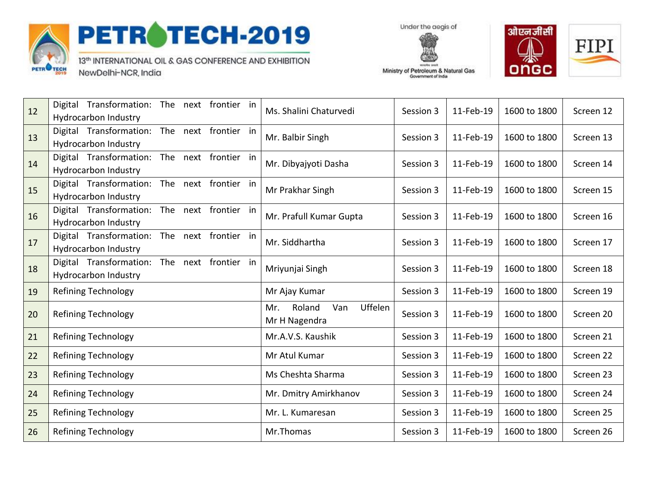

## PETROTECH-2019

13th INTERNATIONAL OIL & GAS CONFERENCE AND EXHIBITION NewDelhi-NCR, India





Ministry of Petroleum & Natural Gas Government of India

| 12 | Transformation:<br>The next frontier in<br>Digital | Ms. Shalini Chaturvedi          | Session 3 | 11-Feb-19 | 1600 to 1800 | Screen 12 |
|----|----------------------------------------------------|---------------------------------|-----------|-----------|--------------|-----------|
|    | Hydrocarbon Industry                               |                                 |           |           |              |           |
| 13 | Digital Transformation:<br>The next frontier in    | Mr. Balbir Singh                | Session 3 | 11-Feb-19 | 1600 to 1800 | Screen 13 |
|    | <b>Hydrocarbon Industry</b>                        |                                 |           |           |              |           |
| 14 | Digital Transformation:<br>The next frontier in    | Mr. Dibyajyoti Dasha            | Session 3 | 11-Feb-19 | 1600 to 1800 | Screen 14 |
| 15 | Hydrocarbon Industry                               |                                 |           |           |              |           |
|    | Digital Transformation:<br>The next frontier in    | Mr Prakhar Singh                | Session 3 | 11-Feb-19 | 1600 to 1800 | Screen 15 |
| 16 | Hydrocarbon Industry                               | Mr. Prafull Kumar Gupta         | Session 3 | 11-Feb-19 | 1600 to 1800 | Screen 16 |
|    | Digital Transformation:<br>The next frontier in    |                                 |           |           |              |           |
| 17 | Hydrocarbon Industry                               | Mr. Siddhartha                  | Session 3 | 11-Feb-19 | 1600 to 1800 | Screen 17 |
|    | Digital Transformation:<br>The next frontier in    |                                 |           |           |              |           |
| 18 | <b>Hydrocarbon Industry</b>                        | Mriyunjai Singh                 | Session 3 | 11-Feb-19 | 1600 to 1800 | Screen 18 |
|    | Digital Transformation:<br>The next frontier in    |                                 |           |           |              |           |
|    | Hydrocarbon Industry                               |                                 |           |           |              |           |
| 19 | <b>Refining Technology</b>                         | Mr Ajay Kumar                   | Session 3 | 11-Feb-19 | 1600 to 1800 | Screen 19 |
| 20 | <b>Refining Technology</b>                         | Uffelen<br>Roland<br>Van<br>Mr. | Session 3 | 11-Feb-19 | 1600 to 1800 | Screen 20 |
|    |                                                    | Mr H Nagendra                   |           |           |              |           |
| 21 | <b>Refining Technology</b>                         | Mr.A.V.S. Kaushik               | Session 3 | 11-Feb-19 | 1600 to 1800 | Screen 21 |
| 22 | <b>Refining Technology</b>                         | Mr Atul Kumar                   | Session 3 | 11-Feb-19 | 1600 to 1800 | Screen 22 |
| 23 | <b>Refining Technology</b>                         | Ms Cheshta Sharma               | Session 3 | 11-Feb-19 | 1600 to 1800 | Screen 23 |
| 24 | <b>Refining Technology</b>                         | Mr. Dmitry Amirkhanov           | Session 3 | 11-Feb-19 | 1600 to 1800 | Screen 24 |
| 25 | <b>Refining Technology</b>                         | Mr. L. Kumaresan                | Session 3 | 11-Feb-19 | 1600 to 1800 | Screen 25 |
| 26 | <b>Refining Technology</b>                         | Mr.Thomas                       | Session 3 | 11-Feb-19 | 1600 to 1800 | Screen 26 |